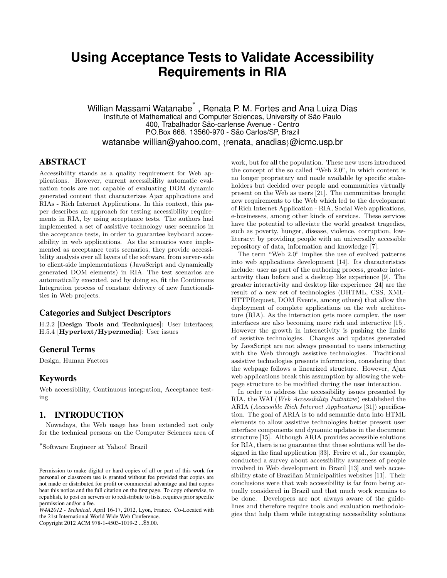# **Using Acceptance Tests to Validate Accessibility Requirements in RIA**

Willian Massami Watanabe ∗ , Renata P. M. Fortes and Ana Luiza Dias Institute of Mathematical and Computer Sciences, University of São Paulo 400, Trabalhador São-carlense Avenue - Centro P.O.Box 668. 13560-970 - São Carlos/SP, Brazil watanabe willian@yahoo.com, {renata, anadias}@icmc.usp.br

# ABSTRACT

Accessibility stands as a quality requirement for Web applications. However, current accessibility automatic evaluation tools are not capable of evaluating DOM dynamic generated content that characterizes Ajax applications and RIAs - Rich Internet Applications. In this context, this paper describes an approach for testing accessibility requirements in RIA, by using acceptance tests. The authors had implemented a set of assistive technology user scenarios in the acceptance tests, in order to guarantee keyboard accessibility in web applications. As the scenarios were implemented as acceptance tests scenarios, they provide accessibility analysis over all layers of the software, from server-side to client-side implementations (JavaScript and dynamically generated DOM elements) in RIA. The test scenarios are automatically executed, and by doing so, fit the Continuous Integration process of constant delivery of new functionalities in Web projects.

## Categories and Subject Descriptors

H.2.2 [Design Tools and Techniques]: User Interfaces; H.5.4 [Hypertext/Hypermedia]: User issues

## General Terms

Design, Human Factors

## Keywords

Web accessibility, Continuous integration, Acceptance testing

# 1. INTRODUCTION

Nowadays, the Web usage has been extended not only for the technical persons on the Computer Sciences area of

Copyright 2012 ACM 978-1-4503-1019-2 ...\$5.00.

work, but for all the population. These new users introduced the concept of the so called "Web 2.0", in which content is no longer proprietary and made available by specific stakeholders but decided over people and communities virtually present on the Web as users [21]. The communities brought new requirements to the Web which led to the development of Rich Internet Application - RIA, Social Web applications, e-businesses, among other kinds of services. These services have the potential to alleviate the world greatest tragedies, such as poverty, hunger, disease, violence, corruption, lowliteracy; by providing people with an universally accessible repository of data, information and knowledge [7].

The term "Web 2.0" implies the use of evolved patterns into web applications development [14]. Its characteristics include: user as part of the authoring process, greater interactivity than before and a desktop like experience [9]. The greater interactivity and desktop like experience [24] are the result of a new set of technologies (DHTML, CSS, XML-HTTPRequest, DOM Events, among others) that allow the deployment of complete applications on the web architecture (RIA). As the interaction gets more complex, the user interfaces are also becoming more rich and interactive [15]. However the growth in interactivity is pushing the limits of assistive technologies. Changes and updates generated by JavaScript are not always presented to users interacting with the Web through assistive technologies. Traditional assistive technologies presents information, considering that the webpage follows a linearized structure. However, Ajax web applications break this assumption by allowing the webpage structure to be modified during the user interaction.

In order to address the accessibility issues presented by RIA, the WAI (Web Accessibility Initiative) established the ARIA (Accessible Rich Internet Applications [31]) specification. The goal of ARIA is to add semantic data into HTML elements to allow assistive technologies better present user interface components and dynamic updates in the document structure [15]. Although ARIA provides accessible solutions for RIA, there is no guarantee that these solutions will be designed in the final application [33]. Freire et al., for example, conducted a survey about accessibility awareness of people involved in Web development in Brazil [13] and web accessibility state of Brazilian Municipalities websites [11]. Their conclusions were that web accessibility is far from being actually considered in Brazil and that much work remains to be done. Developers are not always aware of the guidelines and therefore require tools and evaluation methodologies that help them while integrating accessibility solutions

<sup>∗</sup> Software Engineer at Yahoo! Brazil

Permission to make digital or hard copies of all or part of this work for personal or classroom use is granted without fee provided that copies are not made or distributed for profit or commercial advantage and that copies bear this notice and the full citation on the first page. To copy otherwise, to republish, to post on servers or to redistribute to lists, requires prior specific permission and/or a fee.

*W4A2012 - Technical,* April 16-17, 2012, Lyon, France. Co-Located with the 21st International World Wide Web Conference.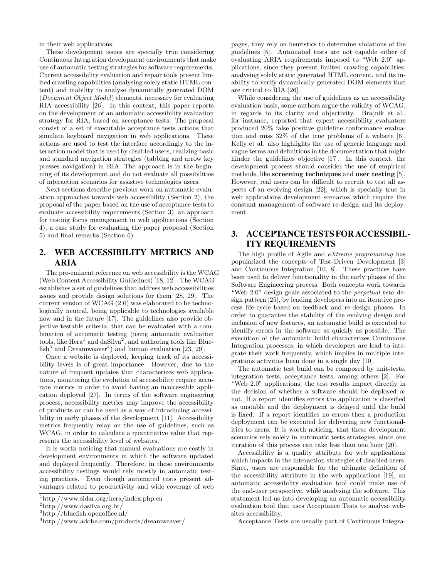in their web applications.

These development issues are specially true considering Continuous Integration development environments that make use of automatic testing strategies for software requirements. Current accessibility evaluation and repair tools present limited crawling capabilities (analysing solely static HTML content) and inability to analyse dynamically generated DOM (Document Object Model) elements, necessary for evaluating RIA accessibility [26]. In this context, this paper reports on the development of an automatic accessibility evaluation strategy for RIA, based on acceptance tests. The proposal consist of a set of executable acceptance tests actions that simulate keyboard navigation in web applications. These actions are used to test the interface accordingly to the interaction model that is used by disabled users, realizing basic and standard navigation strategies (tabbing and arrow key presses navigation) in RIA. The approach is in the beginning of its development and do not evaluate all possibilities of interaction scenarios for assistive technologies users.

Next sections describe previous work on automatic evaluation approaches towards web accessibility (Section 2), the proposal of the paper based on the use of acceptance tests to evaluate accessibility requirements (Section 3), an approach for testing focus management in web applications (Section 4), a case study for evaluating the paper proposal (Section 5) and final remarks (Section 6).

# 2. WEB ACCESSIBILITY METRICS AND ARIA

The pre-eminent reference on web accessibility is the WCAG (Web Content Accessibility Guidelines) [18, 12]. The WCAG establishes a set of guidelines that address web accessibilities issues and provide design solutions for them [28, 29]. The current version of WCAG (2.0) was elaborated to be technologically neutral, being applicable to technologies available now and in the future [17]. The guidelines also provide objective testable criteria, that can be evaluated with a combination of automatic testing (using automatic evaluation tools, like  $Hera<sup>1</sup>$  and daSilva<sup>2</sup>, and authoring tools like Bluefish<sup>3</sup> and Dreamweaver<sup>4</sup>) and human evaluation [23, 29].

Once a website is deployed, keeping track of its accessibility levels is of great importance. However, due to the nature of frequent updates that characterizes web applications, monitoring the evolution of accessibility require accurate metrics in order to avoid having an inaccessible application deployed [27]. In terms of the software engineering process, accessibility metrics may improve the accessibility of products or can be used as a way of introducing accessibility in early phases of the development [11]. Accessibility metrics frequently relay on the use of guidelines, such as WCAG, in order to calculate a quantitative value that represents the accessibility level of websites.

It is worth noticing that manual evaluations are costly in development environments in which the software updated and deployed frequently. Therefore, in these environments accessibility testings would rely mostly in automatic testing practices. Even though automated tests present advantages related to productivity and wide coverage of web

<sup>2</sup>http://www.dasilva.org.br/

pages, they rely on heuristics to determine violations of the guidelines [5]. Automated tests are not capable either of evaluating ARIA requirements imposed to "Web 2.0" applications, since they present limited crawling capabilities, analysing solely static generated HTML content, and its inability to verify dynamically generated DOM elements that are critical to RIA [26].

While considering the use of guidelines as an accessibility evaluation basis, some authors argue the validity of WCAG, in regards to its clarity and objectivity. Brajnik et al., for instance, reported that expert accessibility evaluators produced 20% false positive guideline conformance evaluation and miss 32% of the true problems of a website [6]. Kelly et al. also highlights the use of generic language and vague terms and definitions in the documentation that might hinder the guidelines objective [17]. In this context, the development process should consider the use of empirical methods, like screening techniques and user testing [5]. However, real users can be difficult to recruit to test all aspects of an evolving design [22], which is specially true in web applications development scenarios which require the constant management of software re-design and its deployment.

# 3. ACCEPTANCE TESTS FOR ACCESSIBIL-ITY REQUIREMENTS

The high profile of Agile and eXtreme programming has popularized the concepts of Test-Driven Development [3] and Continuous Integration [10, 8]. These practices have been used to deliver functionality in the early phases of the Software Engineering process. Both concepts work towards "Web 2.0" design goals associated to the perpetual beta design pattern [25], by leading developers into an iterative process life-cycle based on feedback and re-design phases. In order to guarantee the stability of the evolving design and inclusion of new features, an automatic build is executed to identify errors in the software as quickly as possible. The execution of the automatic build characterizes Continuous Integration processes, in which developers are lead to integrate their work frequently, which implies in multiple integrations activities been done in a single day [10].

The automatic test build can be composed by unit-tests, integration tests, acceptance tests, among others [2]. For "Web 2.0" applications, the test results impact directly in the decision of whether a software should be deployed or not. If a report identifies errors the application is classified as unstable and the deployment is delayed until the build is fixed. If a report identifies no errors then a production deployment can be executed for delivering new functionalities to users. It is worth noticing, that these development scenarios rely solely in automatic tests strategies, since one iteration of this process can take less than one hour [20].

Accessibility is a quality attribute for web applications which impacts in the interaction strategies of disabled users. Since, users are responsible for the ultimate definition of the accessibility attribute in the web applications [19], an automatic accessibility evaluation tool could make use of the end-user perspective, while analysing the software. This statement led us into developing an automatic accessibility evaluation tool that uses Acceptance Tests to analyse websites accessibility.

Acceptance Tests are usually part of Continuous Integra-

<sup>1</sup>http://www.sidar.org/hera/index.php.en

<sup>3</sup>http://bluefish.openoffice.nl/

<sup>4</sup>http://www.adobe.com/products/dreamweaver/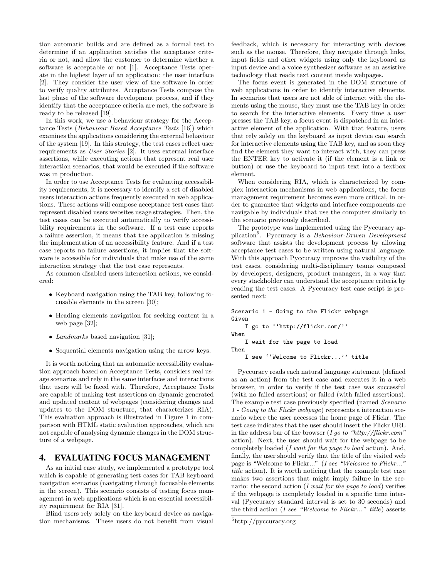tion automatic builds and are defined as a formal test to determine if an application satisfies the acceptance criteria or not, and allow the customer to determine whether a software is acceptable or not [1]. Acceptance Tests operate in the highest layer of an application: the user interface [2]. They consider the user view of the software in order to verify quality attributes. Acceptance Tests compose the last phase of the software development process, and if they identify that the acceptance criteria are met, the software is ready to be released [19].

In this work, we use a behaviour strategy for the Acceptance Tests (Behaviour Based Acceptance Tests [16]) which examines the applications considering the external behaviour of the system [19]. In this strategy, the test cases reflect user requirements as User Stories [2]. It uses external interface assertions, while executing actions that represent real user interaction scenarios, that would be executed if the software was in production.

In order to use Acceptance Tests for evaluating accessibility requirements, it is necessary to identify a set of disabled users interaction actions frequently executed in web applications. These actions will compose acceptance test cases that represent disabled users websites usage strategies. Then, the test cases can be executed automatically to verify accessibility requirements in the software. If a test case reports a failure assertion, it means that the application is missing the implementation of an accessibility feature. And if a test case reports no failure assertions, it implies that the software is accessible for individuals that make use of the same interaction strategy that the test case represents.

As common disabled users interaction actions, we considered:

- Keyboard navigation using the TAB key, following focusable elements in the screen [30];
- Heading elements navigation for seeking content in a web page [32];
- *Landmarks* based navigation [31];
- Sequential elements navigation using the arrow keys.

It is worth noticing that an automatic accessibility evaluation approach based on Acceptance Tests, considers real usage scenarios and rely in the same interfaces and interactions that users will be faced with. Therefore, Acceptance Tests are capable of making test assertions on dynamic generated and updated content of webpages (considering changes and updates to the DOM structure, that characterizes RIA). This evaluation approach is illustrated in Figure 1 in comparison with HTML static evaluation approaches, which are not capable of analysing dynamic changes in the DOM structure of a webpage.

## 4. EVALUATING FOCUS MANAGEMENT

As an initial case study, we implemented a prototype tool which is capable of generating test cases for TAB keyboard navigation scenarios (navigating through focusable elements in the screen). This scenario consists of testing focus management in web applications which is an essential accessibility requirement for RIA [31].

Blind users rely solely on the keyboard device as navigation mechanisms. These users do not benefit from visual feedback, which is necessary for interacting with devices such as the mouse. Therefore, they navigate through links, input fields and other widgets using only the keyboard as input device and a voice synthesizer software as an assistive technology that reads text content inside webpages.

The focus event is generated in the DOM structure of web applications in order to identify interactive elements. In scenarios that users are not able of interact with the elements using the mouse, they must use the TAB key in order to search for the interactive elements. Every time a user presses the TAB key, a focus event is dispatched in an interactive element of the application. With that feature, users that rely solely on the keyboard as input device can search for interactive elements using the TAB key, and as soon they find the element they want to interact with, they can press the ENTER key to activate it (if the element is a link or button) or use the keyboard to input text into a textbox element.

When considering RIA, which is characterized by complex interaction mechanisms in web applications, the focus management requirement becomes even more critical, in order to guarantee that widgets and interface components are navigable by individuals that use the computer similarly to the scenario previously described.

The prototype was implemented using the Pyccuracy application<sup>5</sup>. Pyccuracy is a Behaviour-Driven Development software that assists the development process by allowing acceptance test cases to be written using natural language. With this approach Pyccuracy improves the visibility of the test cases, considering multi-disciplinary teams composed by developers, designers, product managers, in a way that every stackholder can understand the acceptance criteria by reading the test cases. A Pyccuracy test case script is presented next:

#### Scenario 1 - Going to the Flickr webpage Given

I go to ''http://flickr.com/'' When I wait for the page to load Then I see ''Welcome to Flickr...'' title

Pyccuracy reads each natural language statement (defined as an action) from the test case and executes it in a web browser, in order to verify if the test case was successful (with no failed assertions) or failed (with failed assertions). The example test case previously specified (named Scenario 1 - Going to the Flickr webpage) represents a interaction scenario where the user accesses the home page of Flickr. The test case indicates that the user should insert the Flickr URL in the address bar of the browser (I go to "http://flickr.com" action). Next, the user should wait for the webpage to be completely loaded (I wait for the page to load action). And, finally, the user should verify that the title of the visited web page is "Welcome to Flickr..." (I see "Welcome to Flickr..." title action). It is worth noticing that the example test case makes two assertions that might imply failure in the scenario: the second action ( $I$  wait for the page to load) verifies if the webpage is completely loaded in a specific time interval (Pyccuracy standard interval is set to 30 seconds) and the third action ( $I$  see "Welcome to Flickr..." title) asserts

<sup>5</sup>http://pyccuracy.org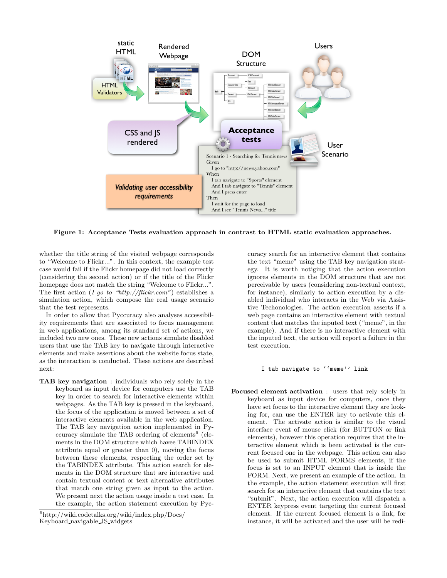

Figure 1: Acceptance Tests evaluation approach in contrast to HTML static evaluation approaches.

whether the title string of the visited webpage corresponds to "Welcome to Flickr...". In this context, the example test case would fail if the Flickr homepage did not load correctly (considering the second action) or if the title of the Flickr homepage does not match the string "Welcome to Flickr...". The first action (I go to "http://flickr.com") establishes a simulation action, which compose the real usage scenario that the test represents.

In order to allow that Pyccuracy also analyses accessibility requirements that are associated to focus management in web applications, among its standard set of actions, we included two new ones. These new actions simulate disabled users that use the TAB key to navigate through interactive elements and make assertions about the website focus state, as the interaction is conducted. These actions are described next:

TAB key navigation : individuals who rely solely in the keyboard as input device for computers use the TAB key in order to search for interactive elements within webpages. As the TAB key is pressed in the keyboard, the focus of the application is moved between a set of interactive elements available in the web application. The TAB key navigation action implemented in Pyccuracy simulate the TAB ordering of elements<sup>6</sup> (elements in the DOM structure which havee TABINDEX attribute equal or greater than 0), moving the focus between these elements, respecting the order set by the TABINDEX attribute. This action search for elements in the DOM structure that are interactive and contain textual content or text alternative attributes that match one string given as input to the action. We present next the action usage inside a test case. In the example, the action statement execution by Pyc-

 $6$ http://wiki.codetalks.org/wiki/index.php/Docs/ Keyboard navigable JS widgets

curacy search for an interactive element that contains the text "meme" using the TAB key navigation strategy. It is worth notiging that the action execution ignores elements in the DOM structure that are not perceivable by users (considering non-textual context, for instance), similarly to action execution by a disabled individual who interacts in the Web via Assistive Techonologies. The action execution asserts if a web page contains an interactive element with textual content that matches the inputed text ("meme", in the example). And if there is no interactive element with the inputed text, the action will report a failure in the test execution.

#### I tab navigate to ''meme'' link

Focused element activation : users that rely solely in keyboard as input device for computers, once they have set focus to the interactive element they are looking for, can use the ENTER key to activate this element. The activate action is similar to the visual interface event of mouse click (for BUTTON or link elements), however this operation requires that the interactive element which is been activated is the current focused one in the webpage. This action can also be used to submit HTML FORMS elements, if the focus is set to an INPUT element that is inside the FORM. Next, we present an example of the action. In the example, the action statement execution will first search for an interactive element that contains the text "submit". Next, the action execution will dispatch a ENTER keypress event targeting the current focused element. If the current focused element is a link, for instance, it will be activated and the user will be redi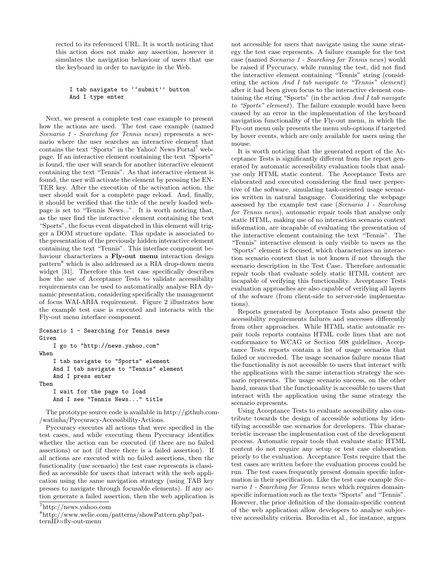rected to its referenced URL. It is worth noticing that this action does not make any assertion, however it simulates the navigation behaviour of users that use the keyboard in order to navigate in the Web.

```
I tab navigate to ''submit'' button
And I type enter
```
Next, we present a complete test case example to present how the actions are used. The test case example (named Scenario 1 - Searching for Tennis news) represents a scenario where the user searches an interactive element that contains the text "Sports" in the Yahoo! News Portal<sup>7</sup> webpage. If an interactive element containing the text "Sports" is found, the user will search for another interactive element containing the text "Tennis". As that interactive element is found, the user will activate the element by pressing the EN-TER key. After the execution of the activation action, the user should wait for a complete page reload. And, finally, it should be verified that the title of the newly loaded webpage is set to "Tennis News...". It is worth noticing that, as the user find the interactive element containing the text "Sports", the focus event dispatched in this element will trigger a DOM structure update. This update is associated to the presentation of the previously hidden interactive element containing the text "Tennis". This interface component behaviour characterizes a Fly-out menu interaction design pattern<sup>8</sup> which is also addressed as a RIA drop-down menu widget [31]. Therefore this test case specifically describes how the use of Acceptance Tests to validate accessibility requirements can be used to automatically analyse RIA dynamic presentation, considering specifically the management of focus WAI-ARIA requirement. Figure 2 illustrates how the example test case is executed and interacts with the Fly-out menu interface component.

```
Scenario 1 - Searching for Tennis news
Given
   I go to "http://news.yahoo.com"
When
    I tab navigate to "Sports" element
    And I tab navigate to "Tennis" element
    And I press enter
Then
    I wait for the page to load
    And I see "Tennis News..." title
```
The prototype source code is available in http://github.com- /watinha/Pyccuracy-Accessibility-Actions.

Pyccuracy executes all actions that were specified in the test cases, and while executing them Pyccuracy identifies whether the action can be executed (if there are no failed assertions) or not (if there there is a failed assertion). If all actions are executed with no failed assertions, then the functionality (use scenario) the test case represents is classified as accessible for users that interact with the web application using the same navigation strategy (using TAB key presses to navigate through focusable elements). If any action generate a failed assertion, then the web application is not accessible for users that navigate using the same strategy the test case represents. A failure example for the test case (named Scenario 1 - Searching for Tennis news) would be raised if Pyccuracy, while running the test, did not find the interactive element containing "Tennis" string (considering the action And I tab navigate to "Tennis" element) after it had been given focus to the interactive element containing the string "Sports" (in the action And I tab navigate to "Sports" element). The failure example would have been caused by an error in the implementation of the keyboard navigation functionality of the Fly-out menu, in which the Fly-out menu only presents the menu sub-options if targeted by hover events, which are only available for users using the mouse.

It is worth noticing that the generated report of the Acceptance Tests is significantly different from the report generated by automatic accessibility evaluation tools that analyse only HTML static content. The Acceptance Tests are elaborated and executed considering the final user perpective of the software, simulating task-oriented usage scenarios written in natural language. Considering the webpage assessed by the example test case (Scenario 1 - Searching for Tennis news), automatic repair tools that analyse only static HTML, making use of no interaction scenario context information, are incapable of evaluating the presentation of the interactive element containing the text "Tennis". The "Tennis" interactive element is only visible to users as the "Sports" element is focused, which characterizes an interaction scenario context that is not known if not through the scenario description in the Test Case. Therefore automatic repair tools that evaluate solely static HTML content are incapable of verifying this functionality. Acceptance Tests evaluation approaches are also capable of verifying all layers of the sofware (from client-side to server-side implementations).

Reports generated by Acceptance Tests also present the accessibility requirements failures and successes differently from other approaches. While HTML static automatic repair tools reports contains HTML code lines that are not conformance to WCAG or Section 508 guidelines, Acceptance Tests reports contain a list of usage scenarios that failed or succeeded. The usage scenarios failure means that the functionality is not accessible to users that interact with the applications with the same interaction strategy the scenario represents. The usage scenario success, on the other hand, means that the functionality is accessible to users that interact with the application using the same strategy the scenario represents.

Using Acceptance Tests to evaluate accessibility also contribute towards the design of accessible solutions by identifying accessible use scenarios for developers. This characteristic increase the implementation cost of the development process. Automatic repair tools that evaluate static HTML content do not require any setup or test case elaboration priorly to the evaluation. Acceptance Tests require that the test cases are written before the evaluation process could be run. The test cases frequently present domain specific information in their specification. Like the test case example Scenario 1 - Searching for Tennis news which requires domainspecific information such as the texts "Sports" and "Tennis". However, the prior definition of the domain-specific content of the web application allow developers to analyse subjective accessibility criteria. Borodin et al., for instance, argues

<sup>7</sup>http://news.yahoo.com

<sup>8</sup>http://www.welie.com/patterns/showPattern.php?pat- $\text{tern}I\dot{\text{D}}=\text{fly-out-mean}$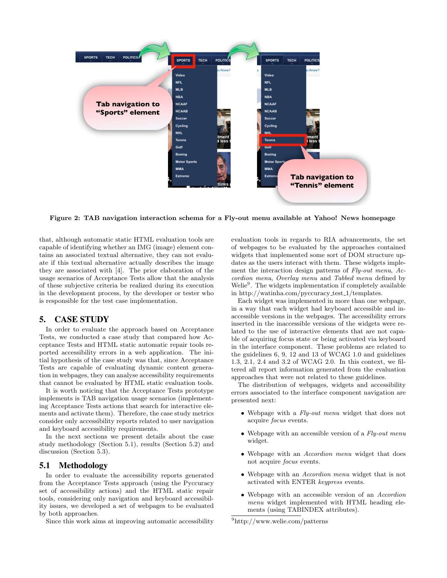

Figure 2: TAB navigation interaction schema for a Fly-out menu available at Yahoo! News homepage

that, although automatic static HTML evaluation tools are capable of identifying whether an IMG (image) element contains an associated textual alternative, they can not evaluate if this textual alternative actually describes the image they are associated with [4]. The prior elaboration of the usage scenarios of Acceptance Tests allow that the analysis of these subjective criteria be realized during its execution in the development process, by the developer or tester who is responsible for the test case implementation.

#### 5. CASE STUDY

In order to evaluate the approach based on Acceptance Tests, we conducted a case study that compared how Acceptance Tests and HTML static automatic repair tools reported accessibility errors in a web application. The initial hypothesis of the case study was that, since Acceptance Tests are capable of evaluating dynamic content generation in webpages, they can analyse accessibility requirements that cannot be evaluated by HTML static evaluation tools.

It is worth noticing that the Acceptance Tests prototype implements is TAB navigation usage scenarios (implementing Acceptance Tests actions that search for interactive elements and activate them). Therefore, the case study metrics consider only accessibility reports related to user navigation and keyboard accessibility requirements.

In the next sections we present details about the case study methodology (Section 5.1), results (Section 5.2) and discussion (Section 5.3).

# 5.1 Methodology

In order to evaluate the accessibility reports generated from the Acceptance Tests approach (using the Pyccuracy set of accessibility actions) and the HTML static repair tools, considering only navigation and keyboard accessibility issues, we developed a set of webpages to be evaluated by both approaches.

Since this work aims at improving automatic accessibility

evaluation tools in regards to RIA advancements, the set of webpages to be evaluated by the approaches contained widgets that implemented some sort of DOM structure updates as the users interact with them. These widgets implement the interaction design patterns of Fly-out menu, Accordion menu, Overlay menu and Tabbed menu defined by Welie<sup>9</sup>. The widgets implementation if completely available in http://watinha.com/pyccuracy test 1/templates.

Each widget was implemented in more than one webpage, in a way that each widget had keyboard accessible and inaccessible versions in the webpages. The accessibility errors inserted in the inaccessible versions of the widgets were related to the use of interactive elements that are not capable of acquiring focus state or being activated via keyboard in the interface component. These problems are related to the guidelines 6, 9, 12 and 13 of WCAG 1.0 and guidelines 1.3, 2.1, 2.4 and 3.2 of WCAG 2.0. In this context, we filtered all report information generated from the evaluation approaches that were not related to these guidelines.

The distribution of webpages, widgets and accessibility errors associated to the interface component navigation are presented next:

- Webpage with a Fly-out menu widget that does not acquire focus events.
- Webpage with an accessible version of a Fly-out menu widget.
- Webpage with an *Accordion menu* widget that does not acquire focus events.
- Webpage with an Accordion menu widget that is not activated with ENTER keypress events.
- Webpage with an accessible version of an Accordion menu widget implemented with HTML heading elements (using TABINDEX attributes).

<sup>9</sup>http://www.welie.com/patterns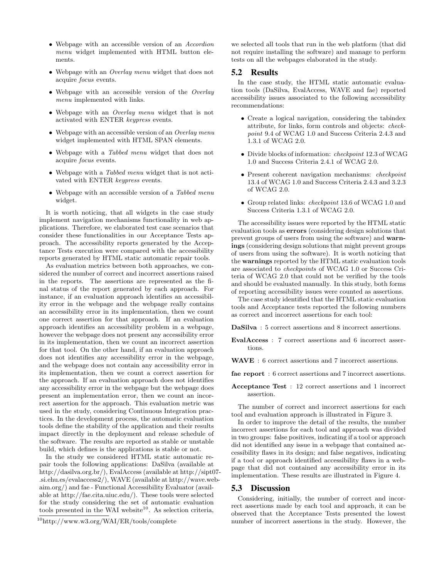- Webpage with an accessible version of an Accordion menu widget implemented with HTML button elements.
- Webpage with an *Overlay menu* widget that does not acquire focus events.
- Webpage with an accessible version of the Overlay menu implemented with links.
- Webpage with an *Overlay menu* widget that is not activated with ENTER keypress events.
- Webpage with an accessible version of an Overlay menu widget implemented with HTML SPAN elements.
- Webpage with a Tabbed menu widget that does not acquire focus events.
- Webpage with a Tabbed menu widget that is not activated with ENTER keypress events.
- Webpage with an accessible version of a Tabbed menu widget.

It is worth noticing, that all widgets in the case study implement navigation mechanisms functionality in web applications. Therefore, we elaborated test case scenarios that consider these functionalities in our Acceptance Tests approach. The accessibility reports generated by the Acceptance Tests execution were compared with the accessibility reports generated by HTML static automatic repair tools.

As evaluation metrics between both approaches, we considered the number of correct and incorrect assertions raised in the reports. The assertions are represented as the final status of the report generated by each approach. For instance, if an evaluation approach identifies an accessibility error in the webpage and the webpage really contains an accessibility error in its implementation, then we count one correct assertion for that approach. If an evaluation approach identifies an accessibility problem in a webpage, however the webpage does not present any accessibility error in its implementation, then we count an incorrect assertion for that tool. On the other hand, if an evaluation approach does not identifies any accessibility error in the webpage, and the webpage does not contain any accessibility error in its implementation, then we count a correct assertion for the approach. If an evaluation approach does not identifies any accessibility error in the webpage but the webpage does present an implementation error, then we count an incorrect assertion for the approach. This evaluation metric was used in the study, considering Continuous Integration practices. In the development process, the automatic evaluation tools define the stability of the application and their results impact directly in the deployment and release schedule of the software. The results are reported as stable or unstable build, which defines is the applications is stable or not.

In the study we considered HTML static automatic repair tools the following applications: DaSilva (available at http://dasilva.org.br/), EvalAccess (available at http://sipt07- .si.ehu.es/evalaccess2/), WAVE (available at http://wave.webaim.org/) and fae - Functional Accessibility Evaluator (available at http://fae.cita.uiuc.edu/). These tools were selected for the study considering the set of automatic evaluation tools presented in the WAI website<sup>10</sup>. As selection criteria,

we selected all tools that run in the web platform (that did not require installing the software) and manage to perform tests on all the webpages elaborated in the study.

#### 5.2 Results

In the case study, the HTML static automatic evaluation tools (DaSilva, EvalAccess, WAVE and fae) reported accessibility issues associated to the following accessibility recommendations:

- Create a logical navigation, considering the tabindex attribute, for links, form controls and objects: checkpoint 9.4 of WCAG 1.0 and Success Criteria 2.4.3 and 1.3.1 of WCAG 2.0.
- Divide blocks of information: checkpoint 12.3 of WCAG 1.0 and Success Criteria 2.4.1 of WCAG 2.0.
- Present coherent navigation mechanisms: *checkpoint* 13.4 of WCAG 1.0 and Success Criteria 2.4.3 and 3.2.3 of WCAG 2.0.
- Group related links: *checkpoint* 13.6 of WCAG 1.0 and Success Criteria 1.3.1 of WCAG 2.0.

The accessibility issues were reported by the HTML static evaluation tools as errors (considering design solutions that prevent groups of users from using the software) and warnings (considering design solutions that might prevent groups of users from using the software). It is worth noticing that the warnings reported by the HTML static evaluation tools are associated to checkpoints of WCAG 1.0 or Success Criteria of WCAG 2.0 that could not be verified by the tools and should be evaluated manually. In this study, both forms of reporting accessibility issues were counted as assertions.

The case study identified that the HTML static evaluation tools and Acceptance tests reported the following numbers as correct and incorrect assertions for each tool:

DaSilva : 5 correct assertions and 8 incorrect assertions.

EvalAccess : 7 correct assertions and 6 incorrect assertions.

WAVE : 6 correct assertions and 7 incorrect assertions.

fae report : 6 correct assertions and 7 incorrect assertions.

Acceptance Test : 12 correct assertions and 1 incorrect assertion.

The number of correct and incorrect assertions for each tool and evaluation approach is illustrated in Figure 3.

In order to improve the detail of the results, the number incorrect assertions for each tool and approach was divided in two groups: false positives, indicating if a tool or approach did not identified any issue in a webpage that contained accessibility flaws in its design; and false negatives, indicating if a tool or approach identified accessibility flaws in a webpage that did not contained any accessibility error in its implementation. These results are illustrated in Figure 4.

#### 5.3 Discussion

Considering, initially, the number of correct and incorrect assertions made by each tool and approach, it can be observed that the Acceptance Tests presented the lowest number of incorrect assertions in the study. However, the

 $^{10}$ http://www.w3.org/WAI/ER/tools/complete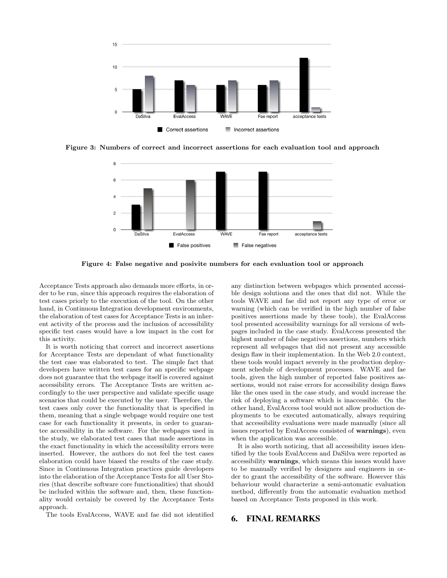

Figure 3: Numbers of correct and incorrect assertions for each evaluation tool and approach



Figure 4: False negative and posivite numbers for each evaluation tool or approach

Acceptance Tests approach also demands more efforts, in order to be run, since this approach requires the elaboration of test cases priorly to the execution of the tool. On the other hand, in Continuous Integration development environments, the elaboration of test cases for Acceptance Tests is an inherent activity of the process and the inclusion of accessibility specific test cases would have a low impact in the cost for this activity.

It is worth noticing that correct and incorrect assertions for Acceptance Tests are dependant of what functionality the test case was elaborated to test. The simple fact that developers have written test cases for an specific webpage does not guarantee that the webpage itself is covered against accessibility errors. The Acceptance Tests are written accordingly to the user perspective and validate specific usage scenarios that could be executed by the user. Therefore, the test cases only cover the functionality that is specified in them, meaning that a single webpage would require one test case for each functionality it presents, in order to guarantee accessibility in the software. For the webpages used in the study, we elaborated test cases that made assertions in the exact functionality in which the accessibility errors were inserted. However, the authors do not feel the test cases elaboration could have biased the results of the case study. Since in Continuous Integration practices guide developers into the elaboration of the Acceptance Tests for all User Stories (that describe software core functionalities) that should be included within the software and, then, these functionality would certainly be covered by the Acceptance Tests approach.

The tools EvalAccess, WAVE and fae did not identified

any distinction between webpages which presented accessible design solutions and the ones that did not. While the tools WAVE and fae did not report any type of error or warning (which can be verified in the high number of false positives assertions made by these tools), the EvalAccess tool presented accessibility warnings for all versions of webpages included in the case study. EvalAccess presented the highest number of false negatives assertions, numbers which represent all webpages that did not present any accessible design flaw in their implementation. In the Web 2.0 context, these tools would impact severely in the production deployment schedule of development processes. WAVE and fae tools, given the high number of reported false positives assertions, would not raise errors for accessibility design flaws like the ones used in the case study, and would increase the risk of deploying a software which is inaccessible. On the other hand, EvalAccess tool would not allow production deployments to be executed automatically, always requiring that accessibility evaluations were made manually (since all issues reported by EvalAccess consisted of warnings), even when the application was accessible.

It is also worth noticing, that all accessibility issues identified by the tools EvalAccess and DaSilva were reported as accessibility warnings, which means this issues would have to be manually verified by designers and engineers in order to grant the accessibility of the software. However this behaviour would characterize a semi-automatic evaluation method, differently from the automatic evaluation method based on Acceptance Tests proposed in this work.

# 6. FINAL REMARKS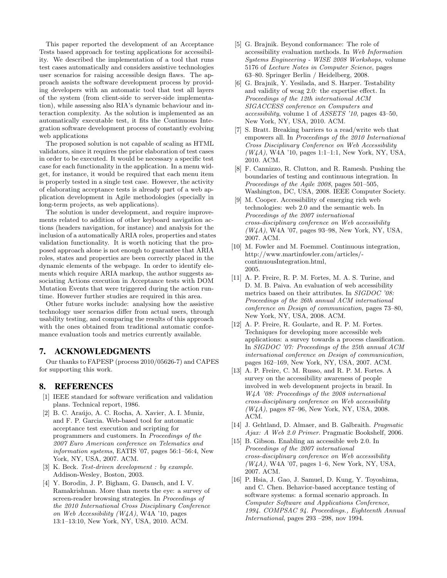This paper reported the development of an Acceptance Tests based approach for testing applications for accessibility. We described the implementation of a tool that runs test cases automatically and considers assistive technologies user scenarios for raising accessible design flaws. The approach assists the software development process by providing developers with an automatic tool that test all layers of the system (from client-side to server-side implementation), while assessing also RIA's dynamic behaviour and interaction complexity. As the solution is implemented as an automatically executable test, it fits the Continuous Integration software development process of constantly evolving web applications

The proposed solution is not capable of scaling as HTML validators, since it requires the prior elaboration of test cases in order to be executed. It would be necessary a specific test case for each functionality in the application. In a menu widget, for instance, it would be required that each menu item is properly tested in a single test case. However, the activity of elaborating acceptance tests is already part of a web application development in Agile methodologies (specially in long-term projects, as web applications).

The solution is under development, and require improvements related to addition of other keyboard navigation actions (headers navigation, for instance) and analysis for the inclusion of a automatically ARIA roles, properties and states validation functionality. It is worth noticing that the proposed approach alone is not enough to guarantee that ARIA roles, states and properties are been correctly placed in the dynamic elements of the webpage. In order to identify elements which require ARIA markup, the author suggests associating Actions execution in Acceptance tests with DOM Mutation Events that were triggered during the action runtime. However further studies are required in this area.

Other future works include: analysing how the assistive technology user scenarios differ from actual users, through usability testing, and comparing the results of this approach with the ones obtained from traditional automatic conformance evaluation tools and metrics currently available.

## 7. ACKNOWLEDGMENTS

Our thanks to FAPESP (process 2010/05626-7) and CAPES for supporting this work.

#### 8. REFERENCES

- [1] IEEE standard for software verification and validation plans. Technical report, 1986.
- [2] B. C. Araújo, A. C. Rocha, A. Xavier, A. I. Muniz, and F. P. Garcia. Web-based tool for automatic acceptance test execution and scripting for programmers and customers. In Proceedings of the 2007 Euro American conference on Telematics and information systems, EATIS '07, pages 56:1–56:4, New York, NY, USA, 2007. ACM.
- [3] K. Beck. Test-driven development : by example. Addison-Wesley, Boston, 2003.
- [4] Y. Borodin, J. P. Bigham, G. Dausch, and I. V. Ramakrishnan. More than meets the eye: a survey of screen-reader browsing strategies. In Proceedings of the 2010 International Cross Disciplinary Conference on Web Accessibility (W4A), W4A '10, pages 13:1–13:10, New York, NY, USA, 2010. ACM.
- [5] G. Brajnik. Beyond conformance: The role of accessibility evaluation methods. In Web Information Systems Engineering - WISE 2008 Workshops, volume 5176 of Lecture Notes in Computer Science, pages 63–80. Springer Berlin / Heidelberg, 2008.
- [6] G. Brajnik, Y. Yesilada, and S. Harper. Testability and validity of wcag 2.0: the expertise effect. In Proceedings of the 12th international ACM SIGACCESS conference on Computers and accessibility, volume 1 of ASSETS '10, pages 43–50, New York, NY, USA, 2010. ACM.
- [7] S. Bratt. Breaking barriers to a read/write web that empowers all. In Proceedings of the 2010 International Cross Disciplinary Conference on Web Accessibility  $(W4A)$ , W4A '10, pages 1:1-1:1, New York, NY, USA, 2010. ACM.
- [8] F. Cannizzo, R. Clutton, and R. Ramesh. Pushing the boundaries of testing and continuous integration. In Proceedings of the Agile 2008, pages 501–505, Washington, DC, USA, 2008. IEEE Computer Society.
- [9] M. Cooper. Accessibility of emerging rich web technologies: web 2.0 and the semantic web. In Proceedings of the 2007 international cross-disciplinary conference on Web accessibility  $(W4A)$ , W4A '07, pages 93–98, New York, NY, USA, 2007. ACM.
- [10] M. Fowler and M. Foemmel. Continuous integration, http://www.martinfowler.com/articles/ continuousIntegration.html, 2005.
- [11] A. P. Freire, R. P. M. Fortes, M. A. S. Turine, and D. M. B. Paiva. An evaluation of web accessibility metrics based on their attributes. In SIGDOC '08: Proceedings of the 26th annual ACM international conference on Design of communication, pages 73–80, New York, NY, USA, 2008. ACM.
- [12] A. P. Freire, R. Goularte, and R. P. M. Fortes. Techniques for developing more accessible web applications: a survey towards a process classification. In SIGDOC '07: Proceedings of the 25th annual ACM international conference on Design of communication, pages 162–169, New York, NY, USA, 2007. ACM.
- [13] A. P. Freire, C. M. Russo, and R. P. M. Fortes. A survey on the accessibility awareness of people involved in web development projects in brazil. In W4A '08: Proceedings of the 2008 international cross-disciplinary conference on Web accessibility  $(W4A)$ , pages 87–96, New York, NY, USA, 2008. ACM.
- [14] J. Gehtland, D. Almaer, and B. Galbraith. Pragmatic Ajax: A Web 2.0 Primer. Pragmatic Bookshelf, 2006.
- [15] B. Gibson. Enabling an accessible web 2.0. In Proceedings of the 2007 international cross-disciplinary conference on Web accessibility  $(W4A)$ , W4A '07, pages 1–6, New York, NY, USA, 2007. ACM.
- [16] P. Hsia, J. Gao, J. Samuel, D. Kung, Y. Toyoshima, and C. Chen. Behavior-based acceptance testing of software systems: a formal scenario approach. In Computer Software and Applications Conference, 1994. COMPSAC 94. Proceedings., Eighteenth Annual International, pages 293 –298, nov 1994.